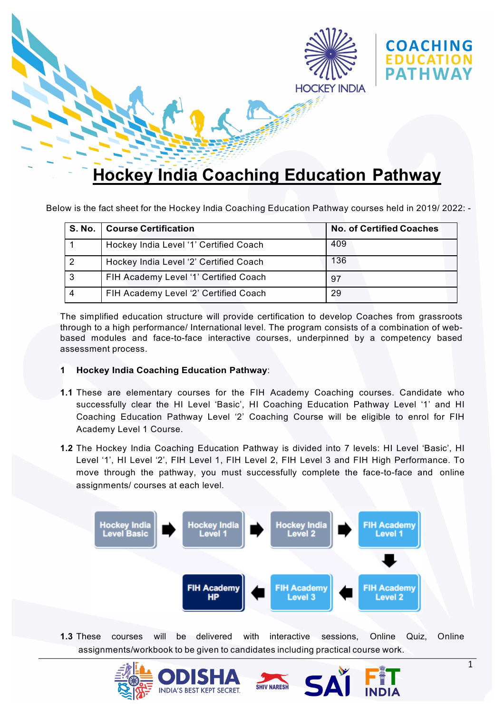

Below is the fact sheet for the Hockey India Coaching Education Pathway courses held in 2019/ 2022: -

| <b>S. No.</b> | <b>Course Certification</b>            | <b>No. of Certified Coaches</b> |
|---------------|----------------------------------------|---------------------------------|
|               | Hockey India Level '1' Certified Coach | 409                             |
| ົ             | Hockey India Level '2' Certified Coach | 136                             |
| 3             | FIH Academy Level '1' Certified Coach  | 97                              |
|               | FIH Academy Level '2' Certified Coach  | 29                              |

The simplified education structure will provide certification to develop Coaches from grassroots through to a high performance/ International level. The program consists of a combination of webbased modules and face-to-face interactive courses, underpinned by a competency based assessment process.

## **1 Hockey India Coaching Education Pathway**:

- **1.1** These are elementary courses for the FIH Academy Coaching courses. Candidate who successfully clear the HI Level 'Basic', HI Coaching Education Pathway Level '1' and HI Coaching Education Pathway Level '2' Coaching Course will be eligible to enrol for FIH Academy Level 1 Course.
- 1.2 The Hockey India Coaching Education Pathway is divided into 7 levels: HI Level 'Basic', HI Level '1', HI Level '2', FIH Level 1, FIH Level 2, FIH Level 3 and FIH High Performance. To move through the pathway, you must successfully complete the face-to-face and online assignments/ courses at each level.



**1.3** These courses will be delivered with interactive sessions, Online Quiz, Online assignments/workbook to be given to candidates including practical course work.

**SHIV NARES** 





1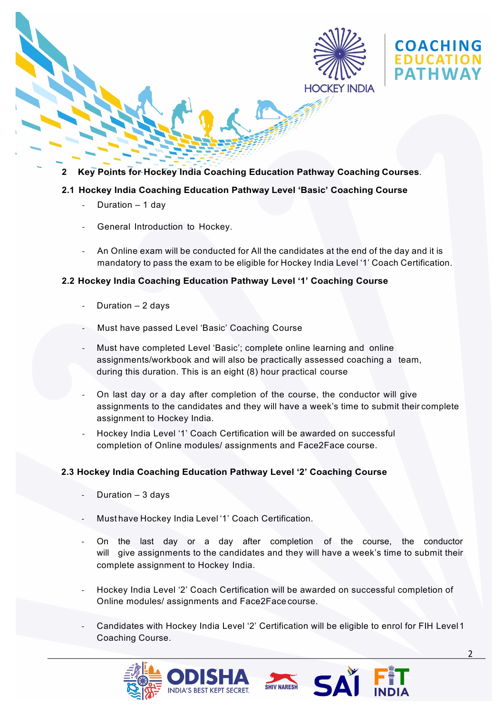



**2 Key Points for Hockey India Coaching Education Pathway Coaching Courses**.

# **2.1 Hockey India Coaching Education Pathway Level 'Basic' Coaching Course**

- Duration  $1$  day
- General Introduction to Hockey.
- An Online exam will be conducted for All the candidates at the end of the day and it is mandatory to pass the exam to be eligible for Hockey India Level '1' Coach Certification.

#### **2.2 Hockey India Coaching Education Pathway Level '1' Coaching Course**

- Duration  $2$  days
- Must have passed Level 'Basic' Coaching Course
- Must have completed Level 'Basic'; complete online learning and online assignments/workbook and will also be practically assessed coaching a team, during this duration. This is an eight (8) hour practical course
- On last day or a day after completion of the course, the conductor will give assignments to the candidates and they will have a week's time to submit their complete assignment to Hockey India.
- Hockey India Level '1' Coach Certification will be awarded on successful completion of Online modules/ assignments and Face2Face course.

## **2.3 Hockey India Coaching Education Pathway Level '2' Coaching Course**

- Duration  $-3$  days
- Must have Hockey India Level '1' Coach Certification.
- On the last day or a day after completion of the course, the conductor will give assignments to the candidates and they will have a week's time to submit their complete assignment to Hockey India.
- Hockey India Level '2' Coach Certification will be awarded on successful completion of Online modules/ assignments and Face2Face course.
- Candidates with Hockey India Level '2' Certification will be eligible to enrol for FIH Level 1 Coaching Course.